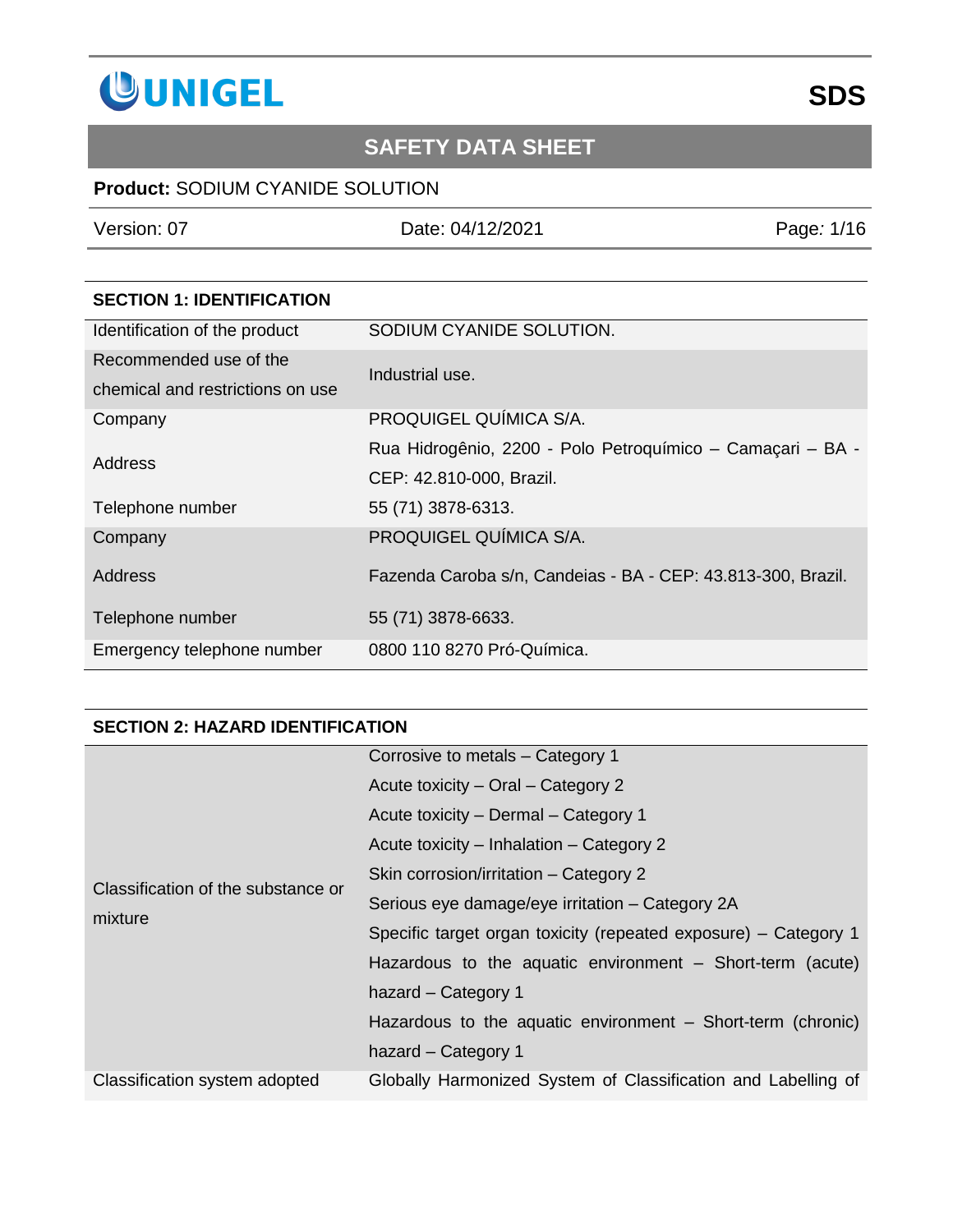

## **Product:** SODIUM CYANIDE SOLUTION

Version: 07 Date: 04/12/2021 Page*:* 1/16

| <b>SECTION 1: IDENTIFICATION</b> |                                                              |
|----------------------------------|--------------------------------------------------------------|
| Identification of the product    | SODIUM CYANIDE SOLUTION.                                     |
| Recommended use of the           | Industrial use.                                              |
| chemical and restrictions on use |                                                              |
| Company                          | PROQUIGEL QUÍMICA S/A.                                       |
| Address                          | Rua Hidrogênio, 2200 - Polo Petroquímico - Camaçari - BA -   |
|                                  | CEP: 42.810-000, Brazil.                                     |
| Telephone number                 | 55 (71) 3878-6313.                                           |
| Company                          | PROQUIGEL QUÍMICA S/A.                                       |
| Address                          | Fazenda Caroba s/n, Candeias - BA - CEP: 43.813-300, Brazil. |
| Telephone number                 | 55 (71) 3878-6633.                                           |
| Emergency telephone number       | 0800 110 8270 Pró-Química.                                   |

#### **SECTION 2: HAZARD IDENTIFICATION**

|                                               | Corrosive to metals - Category 1                                |
|-----------------------------------------------|-----------------------------------------------------------------|
|                                               | Acute toxicity – Oral – Category 2                              |
|                                               | Acute toxicity - Dermal - Category 1                            |
|                                               | Acute toxicity – Inhalation – Category 2                        |
| Classification of the substance or<br>mixture | Skin corrosion/irritation – Category 2                          |
|                                               | Serious eye damage/eye irritation – Category 2A                 |
|                                               | Specific target organ toxicity (repeated exposure) – Category 1 |
|                                               | Hazardous to the aquatic environment – Short-term (acute)       |
|                                               | hazard – Category 1                                             |
|                                               | Hazardous to the aquatic environment – Short-term (chronic)     |
|                                               | hazard – Category 1                                             |
| Classification system adopted                 | Globally Harmonized System of Classification and Labelling of   |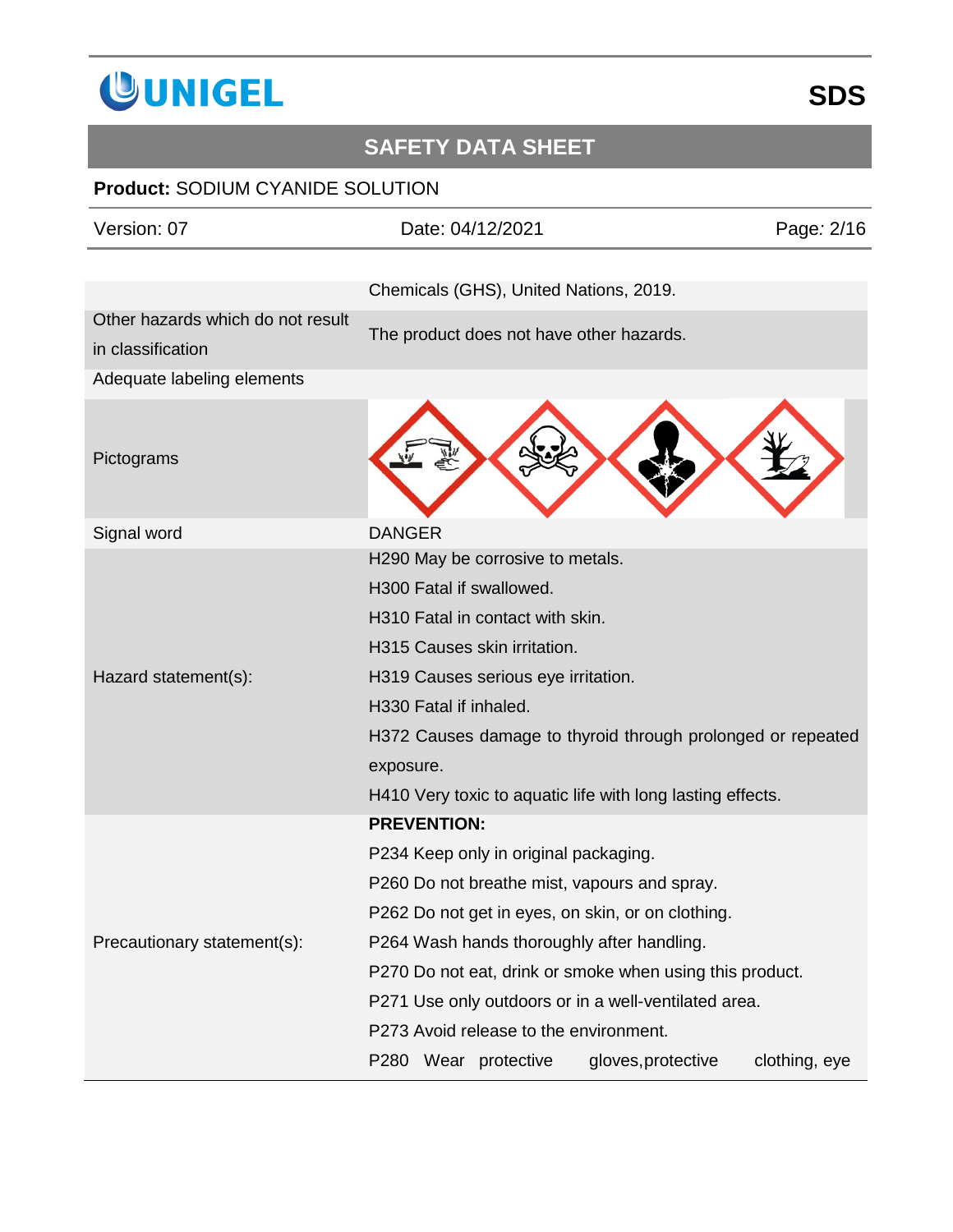

| Version: 07                       | Date: 04/12/2021                                            | Page: 2/16    |
|-----------------------------------|-------------------------------------------------------------|---------------|
|                                   |                                                             |               |
|                                   | Chemicals (GHS), United Nations, 2019.                      |               |
| Other hazards which do not result | The product does not have other hazards.                    |               |
| in classification                 |                                                             |               |
| Adequate labeling elements        |                                                             |               |
| Pictograms                        |                                                             |               |
| Signal word                       | <b>DANGER</b>                                               |               |
|                                   | H290 May be corrosive to metals.                            |               |
|                                   | H300 Fatal if swallowed.                                    |               |
|                                   | H310 Fatal in contact with skin.                            |               |
|                                   | H315 Causes skin irritation.                                |               |
| Hazard statement(s):              | H319 Causes serious eye irritation.                         |               |
|                                   | H330 Fatal if inhaled.                                      |               |
|                                   | H372 Causes damage to thyroid through prolonged or repeated |               |
|                                   | exposure.                                                   |               |
|                                   | H410 Very toxic to aquatic life with long lasting effects.  |               |
|                                   | <b>PREVENTION:</b>                                          |               |
|                                   | P234 Keep only in original packaging.                       |               |
|                                   | P260 Do not breathe mist, vapours and spray.                |               |
|                                   | P262 Do not get in eyes, on skin, or on clothing.           |               |
| Precautionary statement(s):       | P264 Wash hands thoroughly after handling.                  |               |
|                                   | P270 Do not eat, drink or smoke when using this product.    |               |
|                                   | P271 Use only outdoors or in a well-ventilated area.        |               |
|                                   | P273 Avoid release to the environment.                      |               |
|                                   | P280 Wear protective<br>gloves, protective                  | clothing, eye |
|                                   |                                                             |               |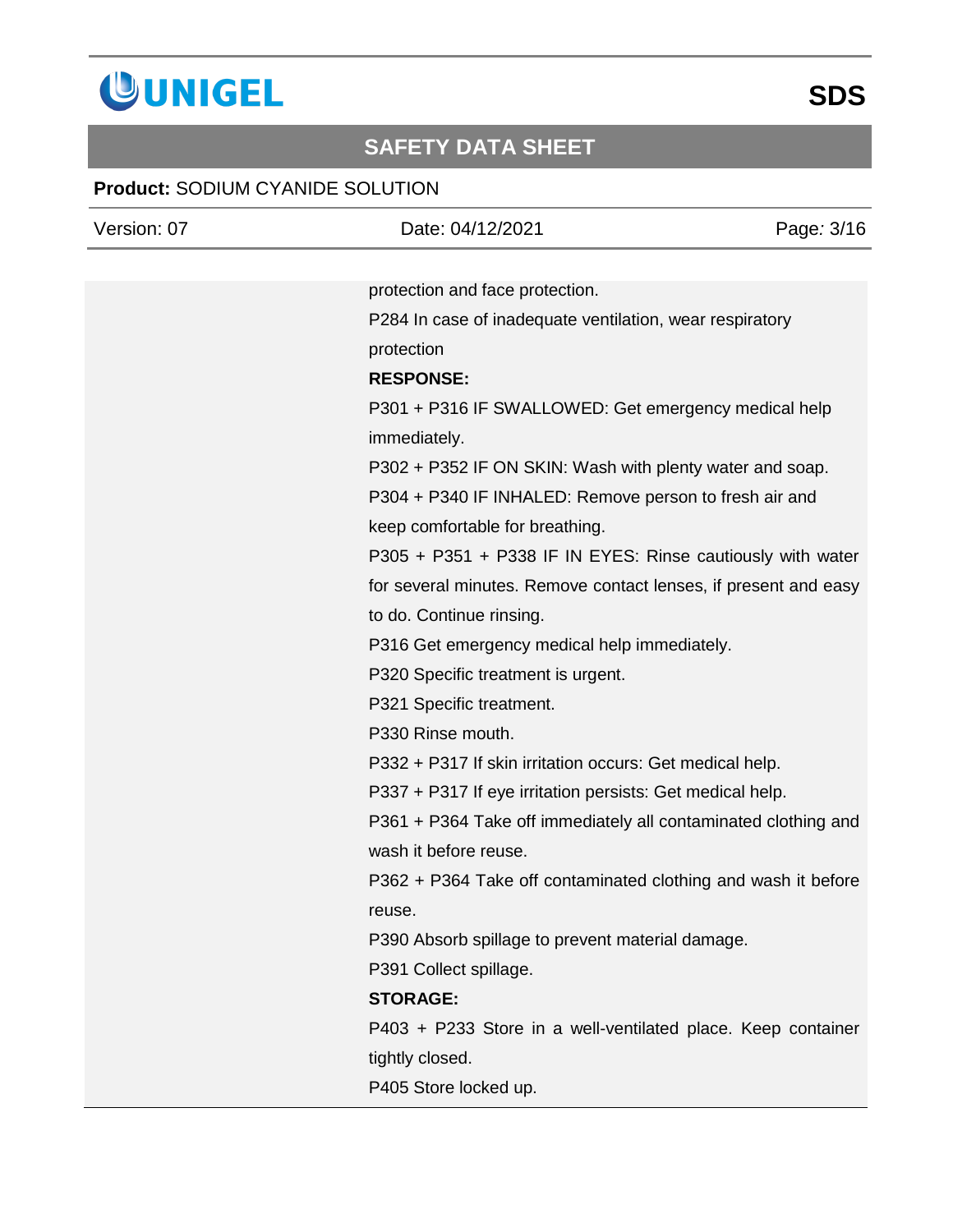

| Version: 07 | Date: 04/12/2021<br>Page: 3/16                                  |
|-------------|-----------------------------------------------------------------|
|             |                                                                 |
|             | protection and face protection.                                 |
|             | P284 In case of inadequate ventilation, wear respiratory        |
|             | protection                                                      |
|             | <b>RESPONSE:</b>                                                |
|             | P301 + P316 IF SWALLOWED: Get emergency medical help            |
|             | immediately.                                                    |
|             | P302 + P352 IF ON SKIN: Wash with plenty water and soap.        |
|             | P304 + P340 IF INHALED: Remove person to fresh air and          |
|             | keep comfortable for breathing.                                 |
|             | P305 + P351 + P338 IF IN EYES: Rinse cautiously with water      |
|             | for several minutes. Remove contact lenses, if present and easy |
|             | to do. Continue rinsing.                                        |
|             | P316 Get emergency medical help immediately.                    |
|             | P320 Specific treatment is urgent.                              |
|             | P321 Specific treatment.                                        |
|             | P330 Rinse mouth.                                               |
|             | P332 + P317 If skin irritation occurs: Get medical help.        |
|             | P337 + P317 If eye irritation persists: Get medical help.       |
|             | P361 + P364 Take off immediately all contaminated clothing and  |
|             | wash it before reuse.                                           |
|             | P362 + P364 Take off contaminated clothing and wash it before   |
|             | reuse.                                                          |
|             | P390 Absorb spillage to prevent material damage.                |
|             | P391 Collect spillage.                                          |
|             | <b>STORAGE:</b>                                                 |
|             | P403 + P233 Store in a well-ventilated place. Keep container    |
|             | tightly closed.                                                 |
|             | P405 Store locked up.                                           |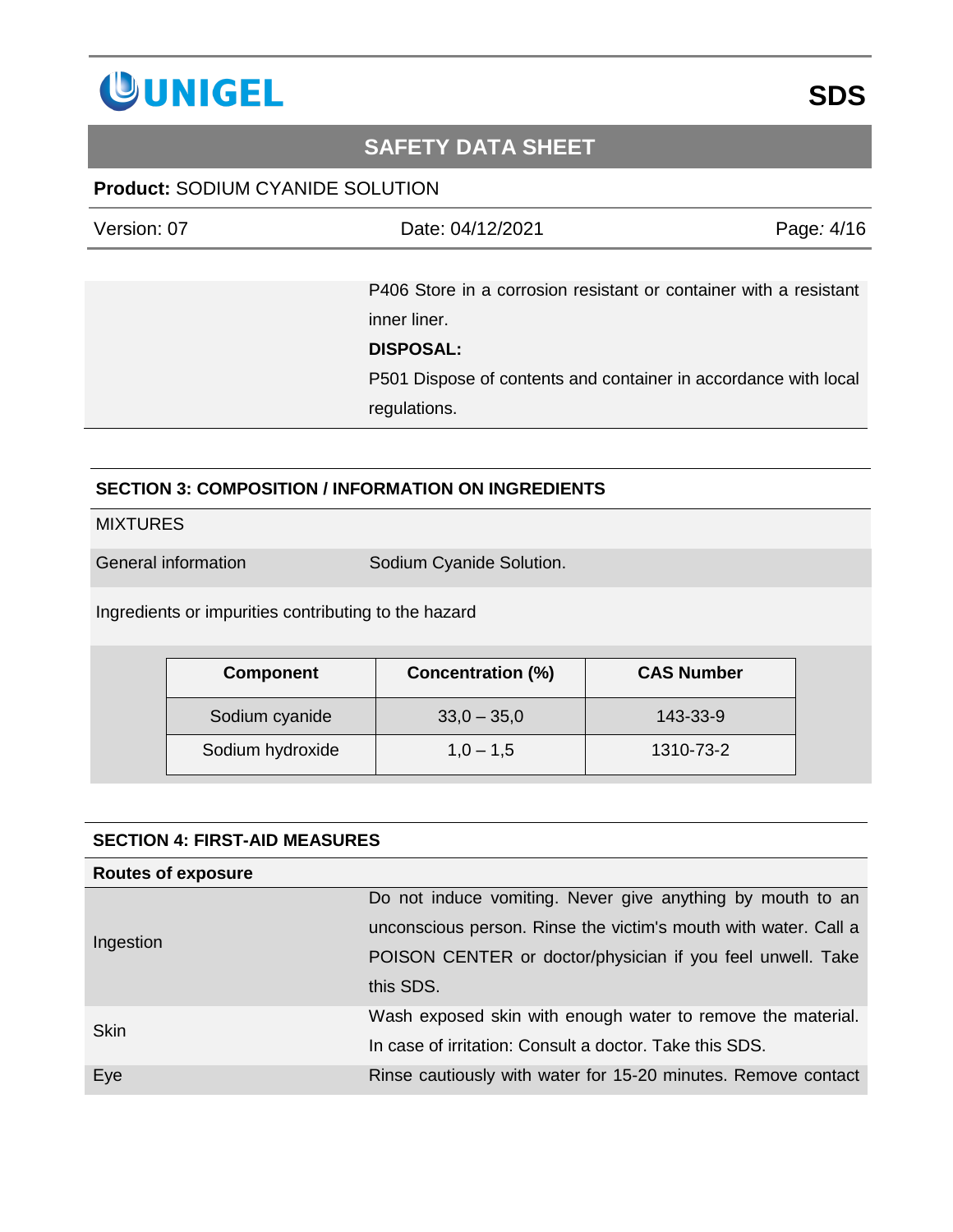

### **Product:** SODIUM CYANIDE SOLUTION

| Version: 07 | Date: 04/12/2021                                                  | Page: 4/16 |
|-------------|-------------------------------------------------------------------|------------|
|             |                                                                   |            |
|             | P406 Store in a corrosion resistant or container with a resistant |            |
|             | inner liner.                                                      |            |
|             | <b>DISPOSAL:</b>                                                  |            |
|             | P501 Dispose of contents and container in accordance with local   |            |
|             | regulations.                                                      |            |

### **SECTION 3: COMPOSITION / INFORMATION ON INGREDIENTS**

#### **MIXTURES**

General information Sodium Cyanide Solution.

Ingredients or impurities contributing to the hazard

| <b>Component</b> | <b>Concentration (%)</b> | <b>CAS Number</b> |
|------------------|--------------------------|-------------------|
| Sodium cyanide   | $33,0 - 35,0$            | 143-33-9          |
| Sodium hydroxide | $1,0 - 1,5$              | 1310-73-2         |

| <b>SECTION 4: FIRST-AID MEASURES</b> |                                                                 |  |
|--------------------------------------|-----------------------------------------------------------------|--|
| <b>Routes of exposure</b>            |                                                                 |  |
|                                      | Do not induce vomiting. Never give anything by mouth to an      |  |
| Ingestion                            | unconscious person. Rinse the victim's mouth with water. Call a |  |
|                                      | POISON CENTER or doctor/physician if you feel unwell. Take      |  |
|                                      | this SDS.                                                       |  |
| <b>Skin</b>                          | Wash exposed skin with enough water to remove the material.     |  |
|                                      | In case of irritation: Consult a doctor. Take this SDS.         |  |
| Eye                                  | Rinse cautiously with water for 15-20 minutes. Remove contact   |  |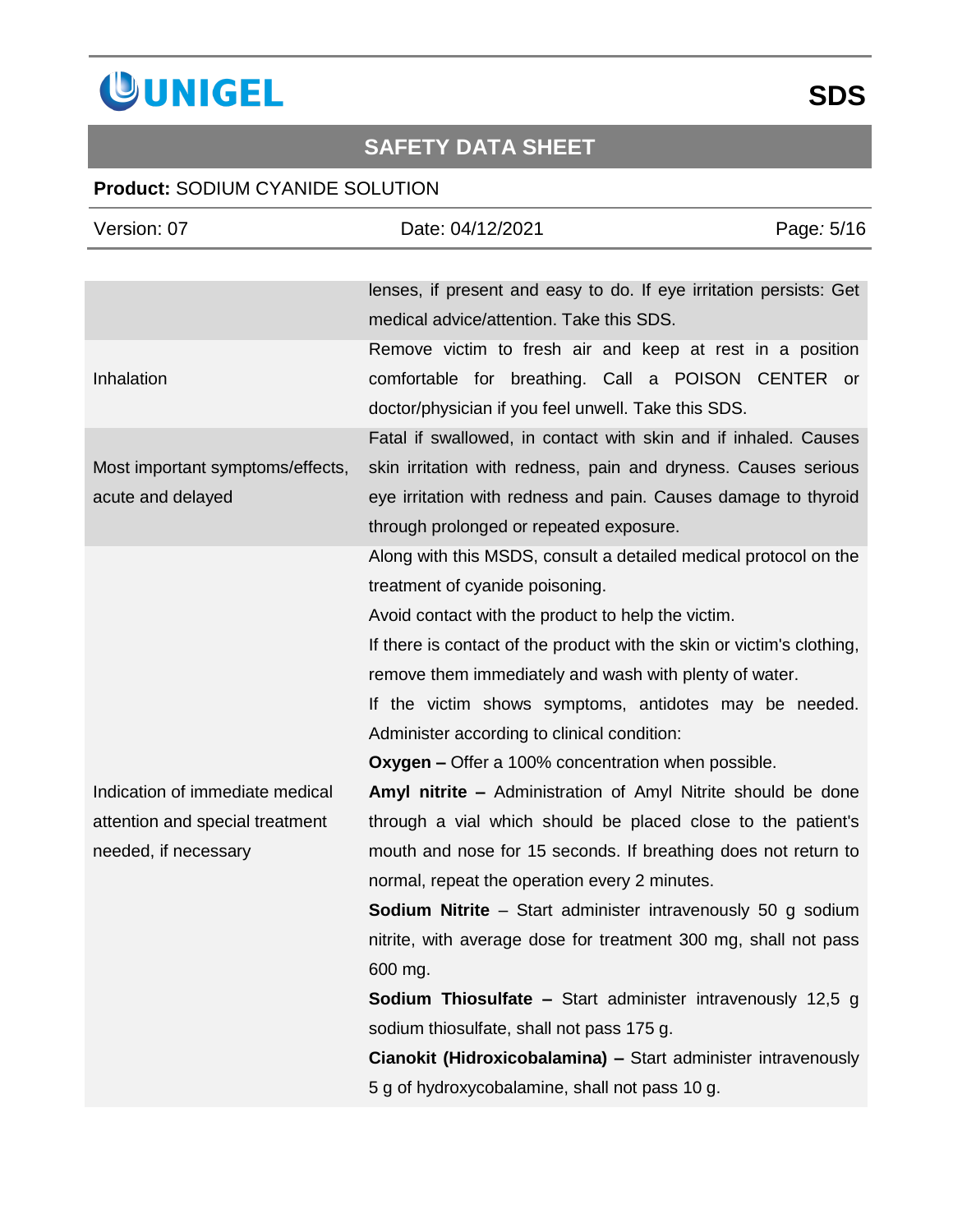

| Version: 07                      | Date: 04/12/2021                                                                                               | Page: 5/16 |
|----------------------------------|----------------------------------------------------------------------------------------------------------------|------------|
|                                  |                                                                                                                |            |
|                                  | lenses, if present and easy to do. If eye irritation persists: Get<br>medical advice/attention. Take this SDS. |            |
|                                  | Remove victim to fresh air and keep at rest in a position                                                      |            |
| Inhalation                       | comfortable for breathing. Call a POISON CENTER or                                                             |            |
|                                  | doctor/physician if you feel unwell. Take this SDS.                                                            |            |
|                                  | Fatal if swallowed, in contact with skin and if inhaled. Causes                                                |            |
| Most important symptoms/effects, | skin irritation with redness, pain and dryness. Causes serious                                                 |            |
| acute and delayed                | eye irritation with redness and pain. Causes damage to thyroid                                                 |            |
|                                  | through prolonged or repeated exposure.                                                                        |            |
|                                  | Along with this MSDS, consult a detailed medical protocol on the                                               |            |
|                                  | treatment of cyanide poisoning.                                                                                |            |
|                                  | Avoid contact with the product to help the victim.                                                             |            |
|                                  | If there is contact of the product with the skin or victim's clothing,                                         |            |
|                                  | remove them immediately and wash with plenty of water.                                                         |            |
|                                  | If the victim shows symptoms, antidotes may be needed.                                                         |            |
|                                  | Administer according to clinical condition:                                                                    |            |
|                                  | Oxygen - Offer a 100% concentration when possible.                                                             |            |
| Indication of immediate medical  | Amyl nitrite - Administration of Amyl Nitrite should be done                                                   |            |
| attention and special treatment  | through a vial which should be placed close to the patient's                                                   |            |
| needed, if necessary             | mouth and nose for 15 seconds. If breathing does not return to                                                 |            |
|                                  | normal, repeat the operation every 2 minutes.                                                                  |            |
|                                  | <b>Sodium Nitrite</b> – Start administer intravenously 50 g sodium                                             |            |
|                                  | nitrite, with average dose for treatment 300 mg, shall not pass                                                |            |
|                                  | 600 mg.                                                                                                        |            |
|                                  | <b>Sodium Thiosulfate - Start administer intravenously 12,5 g</b>                                              |            |
|                                  | sodium thiosulfate, shall not pass 175 g.                                                                      |            |
|                                  | Cianokit (Hidroxicobalamina) - Start administer intravenously                                                  |            |
|                                  | 5 g of hydroxycobalamine, shall not pass 10 g.                                                                 |            |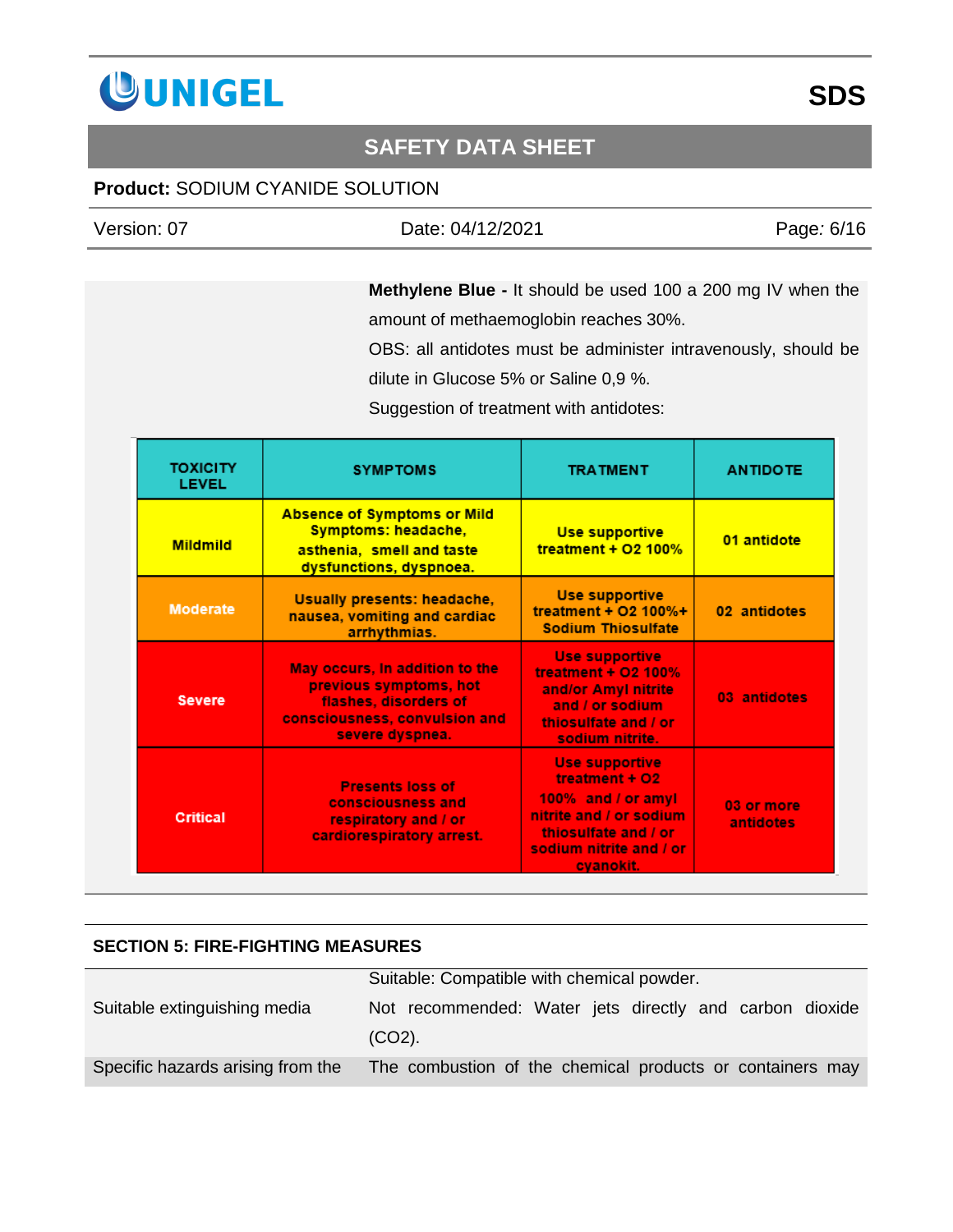

### **Product:** SODIUM CYANIDE SOLUTION

| Version: 07 | Date: 04/12/2021 | Page: 6/16 |
|-------------|------------------|------------|
|             |                  |            |

**Methylene Blue -** It should be used 100 a 200 mg IV when the amount of methaemoglobin reaches 30%.

OBS: all antidotes must be administer intravenously, should be dilute in Glucose 5% or Saline 0,9 %.

Suggestion of treatment with antidotes:

| <b>TOXICITY</b><br><b>LEVEL</b> | <b>SYMPTOMS</b>                                                                                                                       | <b>TRATMENT</b>                                                                                                                                          | <b>ANTIDOTE</b>         |
|---------------------------------|---------------------------------------------------------------------------------------------------------------------------------------|----------------------------------------------------------------------------------------------------------------------------------------------------------|-------------------------|
| <b>Mildmild</b>                 | <b>Absence of Symptoms or Mild</b><br>Symptoms: headache,<br>asthenia, smell and taste<br>dysfunctions, dyspnoea.                     | Use supportive<br>treatment + $O2$ 100%                                                                                                                  | 01 antidote             |
| <b>Moderate</b>                 | Usually presents: headache,<br>nausea, vomiting and cardiac<br>arrhythmias.                                                           | <b>Use supportive</b><br>treatment + $O2$ 100%+<br><b>Sodium Thiosulfate</b>                                                                             | 02 antidotes            |
| <b>Severe</b>                   | May occurs, In addition to the<br>previous symptoms, hot<br>flashes, disorders of<br>consciousness, convulsion and<br>severe dyspnea. | <b>Use supportive</b><br>treatment + 02 100%<br>and/or Amyl nitrite<br>and / or sodium<br>thiosulfate and / or<br>sodium nitrite.                        | 03 antidotes            |
| <b>Critical</b>                 | <b>Presents loss of</b><br>consciousness and<br>respiratory and / or<br>cardiorespiratory arrest.                                     | <b>Use supportive</b><br>treatment + O2<br>100% and / or amyl<br>nitrite and / or sodium<br>thiosulfate and / or<br>sodium nitrite and / or<br>cvanokit. | 03 or more<br>antidotes |

### **SECTION 5: FIRE-FIGHTING MEASURES**

|                                   | Suitable: Compatible with chemical powder.                |  |  |
|-----------------------------------|-----------------------------------------------------------|--|--|
| Suitable extinguishing media      | Not recommended: Water jets directly and carbon dioxide   |  |  |
|                                   | $(CO2)$ .                                                 |  |  |
| Specific hazards arising from the | The combustion of the chemical products or containers may |  |  |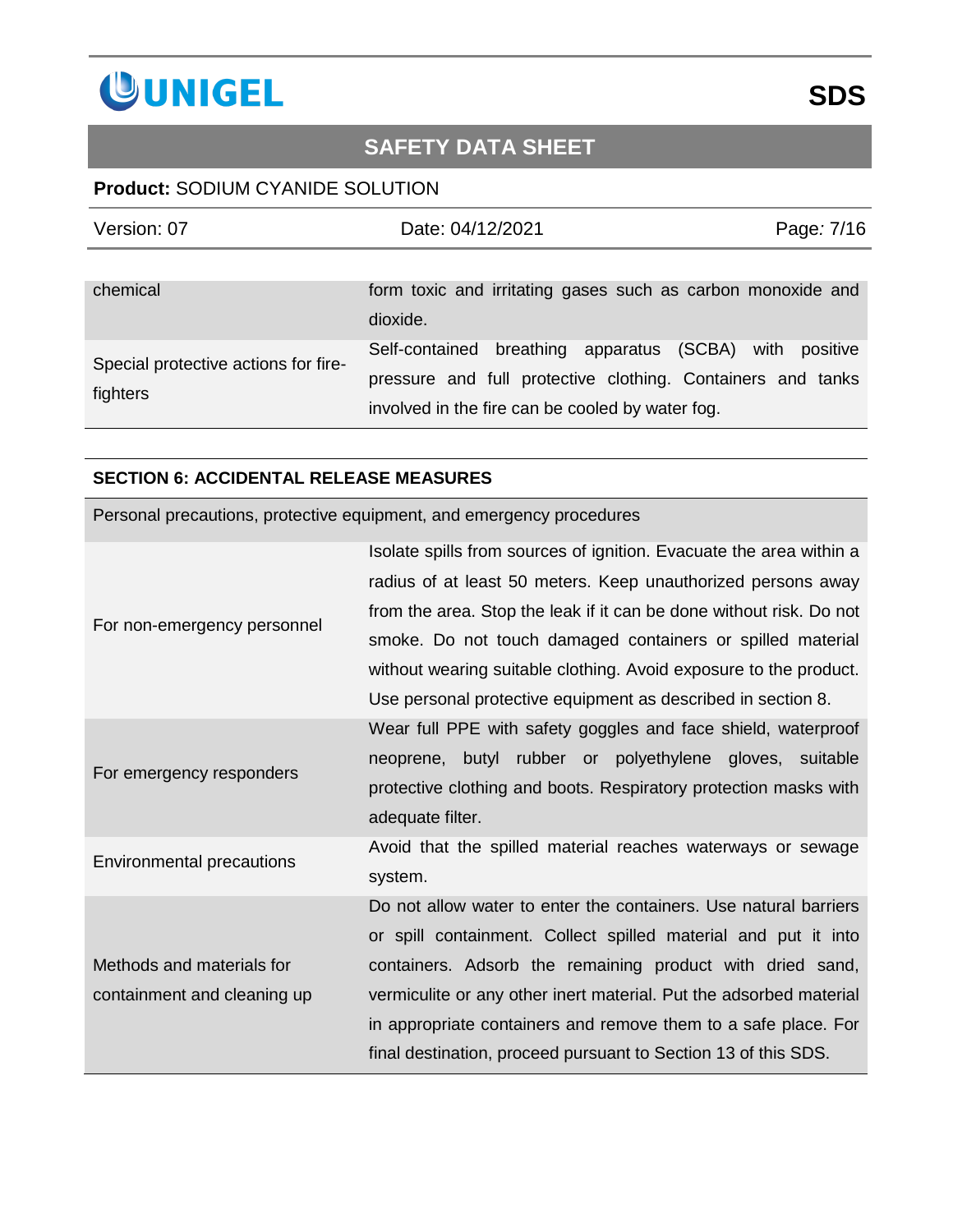

### **Product:** SODIUM CYANIDE SOLUTION

| Version: 07                                      | Date: 04/12/2021                                                                                                                                             | Page: 7/16    |
|--------------------------------------------------|--------------------------------------------------------------------------------------------------------------------------------------------------------------|---------------|
| chemical                                         | form toxic and irritating gases such as carbon monoxide and<br>dioxide.                                                                                      |               |
| Special protective actions for fire-<br>fighters | Self-contained breathing apparatus (SCBA)<br>pressure and full protective clothing. Containers and tanks<br>involved in the fire can be cooled by water fog. | with positive |

#### **SECTION 6: ACCIDENTAL RELEASE MEASURES**

Personal precautions, protective equipment, and emergency procedures

|                             | Isolate spills from sources of ignition. Evacuate the area within a |
|-----------------------------|---------------------------------------------------------------------|
|                             | radius of at least 50 meters. Keep unauthorized persons away        |
|                             | from the area. Stop the leak if it can be done without risk. Do not |
| For non-emergency personnel | smoke. Do not touch damaged containers or spilled material          |
|                             | without wearing suitable clothing. Avoid exposure to the product.   |
|                             | Use personal protective equipment as described in section 8.        |
|                             | Wear full PPE with safety goggles and face shield, waterproof       |
|                             | neoprene, butyl rubber or polyethylene gloves, suitable             |
| For emergency responders    | protective clothing and boots. Respiratory protection masks with    |
|                             | adequate filter.                                                    |
|                             | Avoid that the spilled material reaches waterways or sewage         |
| Environmental precautions   | system.                                                             |
|                             | Do not allow water to enter the containers. Use natural barriers    |
|                             | or spill containment. Collect spilled material and put it into      |
| Methods and materials for   | containers. Adsorb the remaining product with dried sand,           |
| containment and cleaning up | vermiculite or any other inert material. Put the adsorbed material  |
|                             | in appropriate containers and remove them to a safe place. For      |
|                             | final destination, proceed pursuant to Section 13 of this SDS.      |
|                             |                                                                     |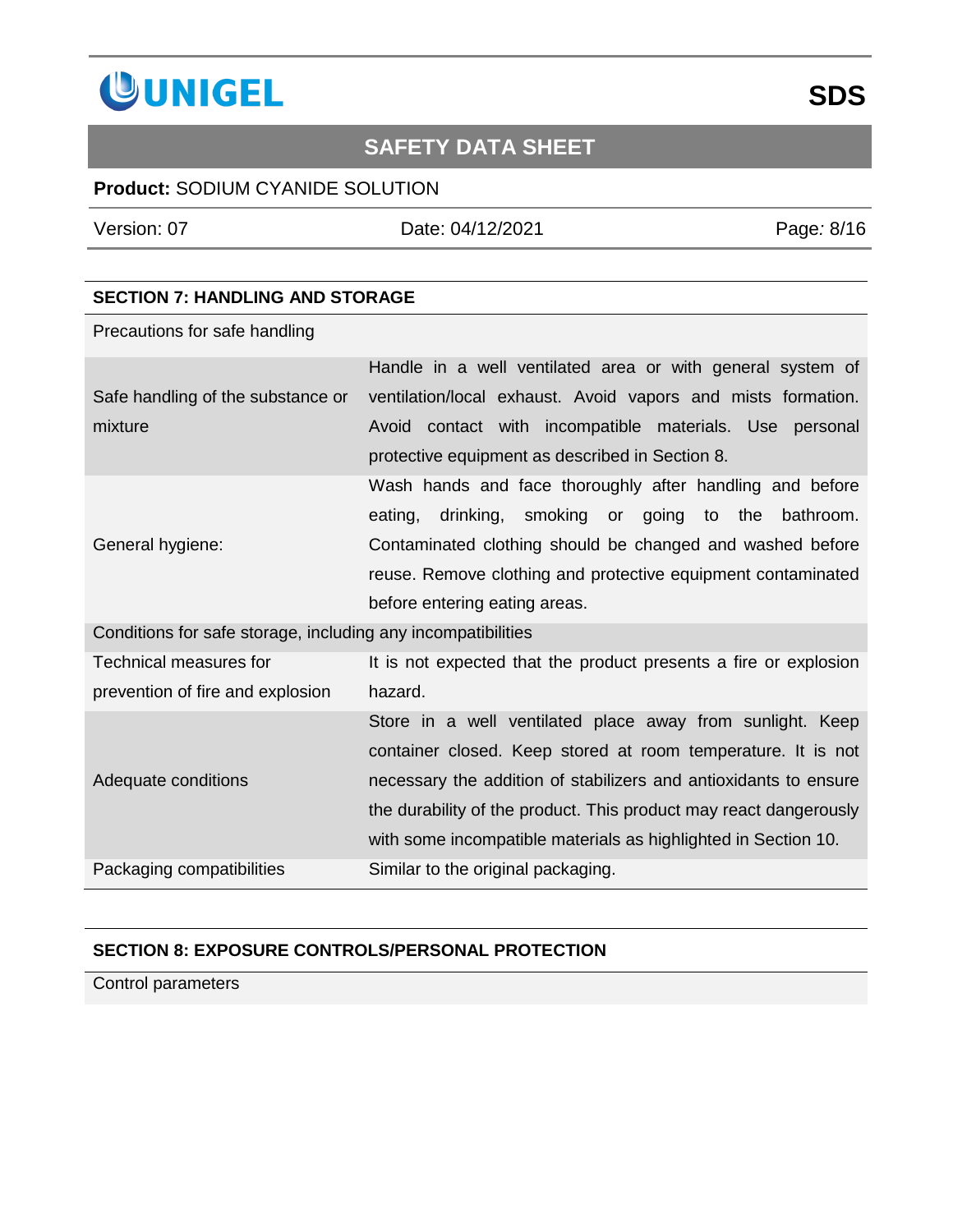

### **Product:** SODIUM CYANIDE SOLUTION

Version: 07 Date: 04/12/2021 Page*:* 8/16

### **SECTION 7: HANDLING AND STORAGE**

Precautions for safe handling

|                                                              | Handle in a well ventilated area or with general system of        |  |
|--------------------------------------------------------------|-------------------------------------------------------------------|--|
| Safe handling of the substance or                            | ventilation/local exhaust. Avoid vapors and mists formation.      |  |
| mixture                                                      | Avoid contact with incompatible materials. Use personal           |  |
|                                                              | protective equipment as described in Section 8.                   |  |
|                                                              | Wash hands and face thoroughly after handling and before          |  |
|                                                              | drinking, smoking or going to the<br>eating,<br>bathroom.         |  |
| General hygiene:                                             | Contaminated clothing should be changed and washed before         |  |
|                                                              | reuse. Remove clothing and protective equipment contaminated      |  |
|                                                              | before entering eating areas.                                     |  |
| Conditions for safe storage, including any incompatibilities |                                                                   |  |
| Technical measures for                                       | It is not expected that the product presents a fire or explosion  |  |
| prevention of fire and explosion                             | hazard.                                                           |  |
|                                                              | Store in a well ventilated place away from sunlight. Keep         |  |
|                                                              | container closed. Keep stored at room temperature. It is not      |  |
| Adequate conditions                                          | necessary the addition of stabilizers and antioxidants to ensure  |  |
|                                                              | the durability of the product. This product may react dangerously |  |
|                                                              | with some incompatible materials as highlighted in Section 10.    |  |
| Packaging compatibilities                                    | Similar to the original packaging.                                |  |

#### **SECTION 8: EXPOSURE CONTROLS/PERSONAL PROTECTION**

Control parameters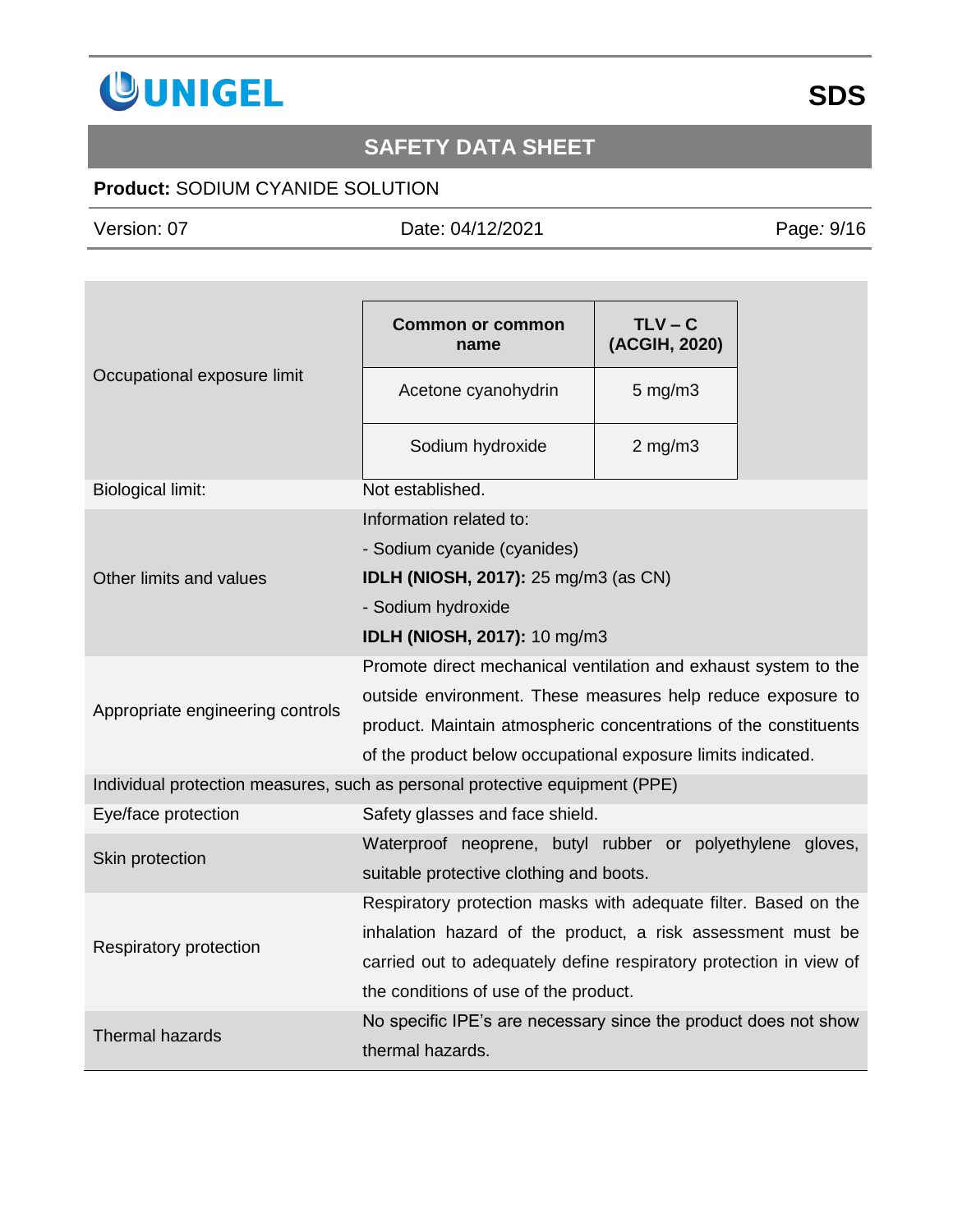

## **Product:** SODIUM CYANIDE SOLUTION

Version: 07 Date: 04/12/2021 Page*:* 9/16

| Occupational exposure limit                                                 | <b>Common or common</b><br>name                                    | $TLV - C$<br>(ACGIH, 2020) |  |
|-----------------------------------------------------------------------------|--------------------------------------------------------------------|----------------------------|--|
|                                                                             | Acetone cyanohydrin                                                | $5$ mg/m $3$               |  |
|                                                                             | Sodium hydroxide                                                   | $2$ mg/m $3$               |  |
| <b>Biological limit:</b>                                                    | Not established.                                                   |                            |  |
|                                                                             | Information related to:                                            |                            |  |
|                                                                             | - Sodium cyanide (cyanides)                                        |                            |  |
| Other limits and values                                                     | IDLH (NIOSH, 2017): 25 mg/m3 (as CN)                               |                            |  |
|                                                                             | - Sodium hydroxide                                                 |                            |  |
|                                                                             | IDLH (NIOSH, 2017): 10 mg/m3                                       |                            |  |
|                                                                             | Promote direct mechanical ventilation and exhaust system to the    |                            |  |
| Appropriate engineering controls                                            | outside environment. These measures help reduce exposure to        |                            |  |
|                                                                             | product. Maintain atmospheric concentrations of the constituents   |                            |  |
|                                                                             | of the product below occupational exposure limits indicated.       |                            |  |
| Individual protection measures, such as personal protective equipment (PPE) |                                                                    |                            |  |
| Eye/face protection                                                         | Safety glasses and face shield.                                    |                            |  |
| Skin protection                                                             | Waterproof neoprene, butyl rubber or polyethylene gloves,          |                            |  |
|                                                                             | suitable protective clothing and boots.                            |                            |  |
|                                                                             | Respiratory protection masks with adequate filter. Based on the    |                            |  |
| Respiratory protection                                                      | inhalation hazard of the product, a risk assessment must be        |                            |  |
|                                                                             | carried out to adequately define respiratory protection in view of |                            |  |
|                                                                             | the conditions of use of the product.                              |                            |  |
| <b>Thermal hazards</b>                                                      | No specific IPE's are necessary since the product does not show    |                            |  |
|                                                                             | thermal hazards.                                                   |                            |  |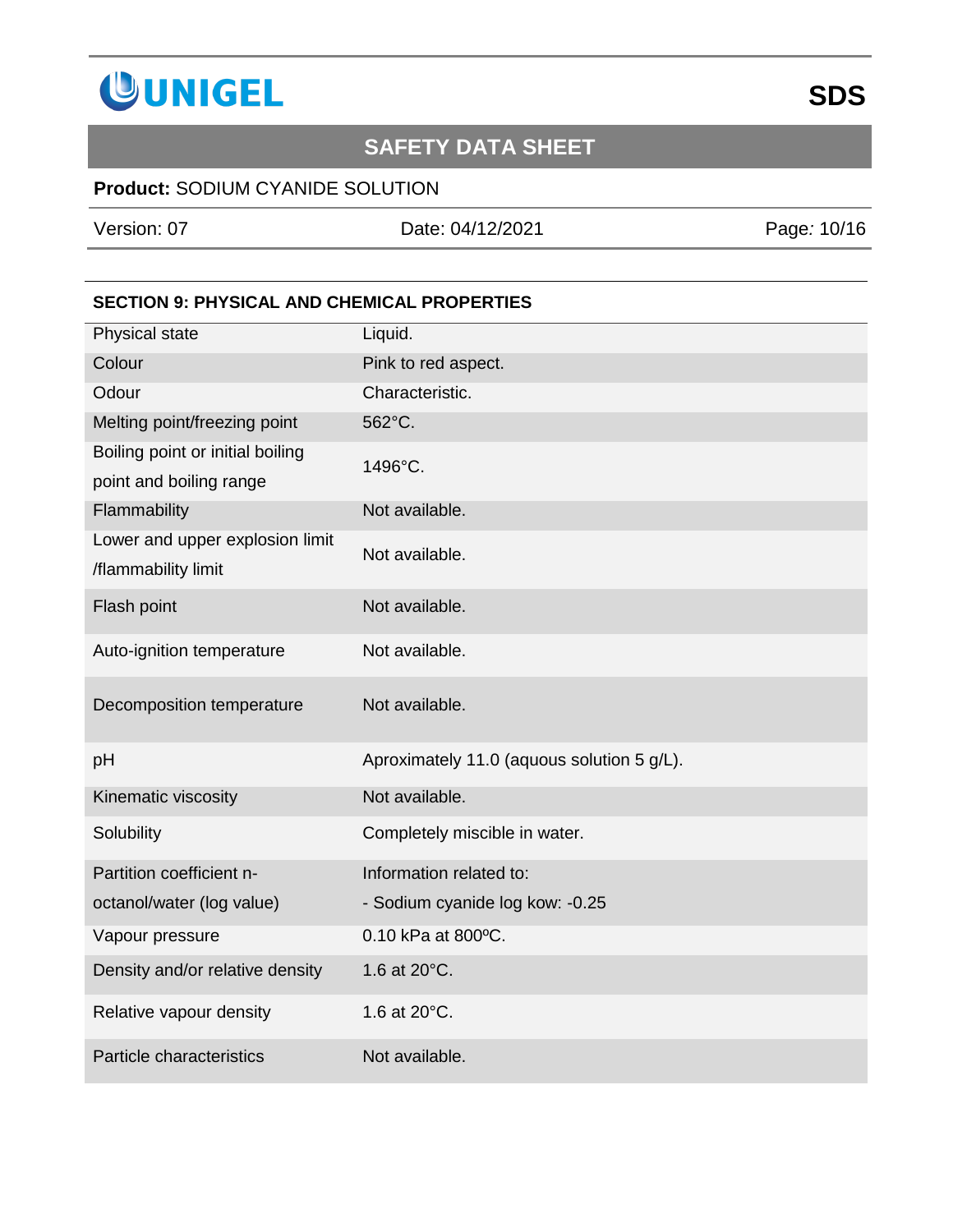

### **Product:** SODIUM CYANIDE SOLUTION

Version: 07 Date: 04/12/2021 Page*:* 10/16

### **SECTION 9: PHYSICAL AND CHEMICAL PROPERTIES**

| Physical state                                              | Liquid.                                    |
|-------------------------------------------------------------|--------------------------------------------|
| Colour                                                      | Pink to red aspect.                        |
| Odour                                                       | Characteristic.                            |
| Melting point/freezing point                                | 562°C.                                     |
| Boiling point or initial boiling<br>point and boiling range | 1496°C.                                    |
| Flammability                                                | Not available.                             |
| Lower and upper explosion limit<br>/flammability limit      | Not available.                             |
| Flash point                                                 | Not available.                             |
| Auto-ignition temperature                                   | Not available.                             |
| Decomposition temperature                                   | Not available.                             |
| pH                                                          | Aproximately 11.0 (aquous solution 5 g/L). |
| Kinematic viscosity                                         | Not available.                             |
| Solubility                                                  | Completely miscible in water.              |
| Partition coefficient n-                                    | Information related to:                    |
| octanol/water (log value)                                   | - Sodium cyanide log kow: -0.25            |
| Vapour pressure                                             | 0.10 kPa at 800°C.                         |
| Density and/or relative density                             | 1.6 at 20°C.                               |
| Relative vapour density                                     | 1.6 at 20°C.                               |
| Particle characteristics                                    | Not available.                             |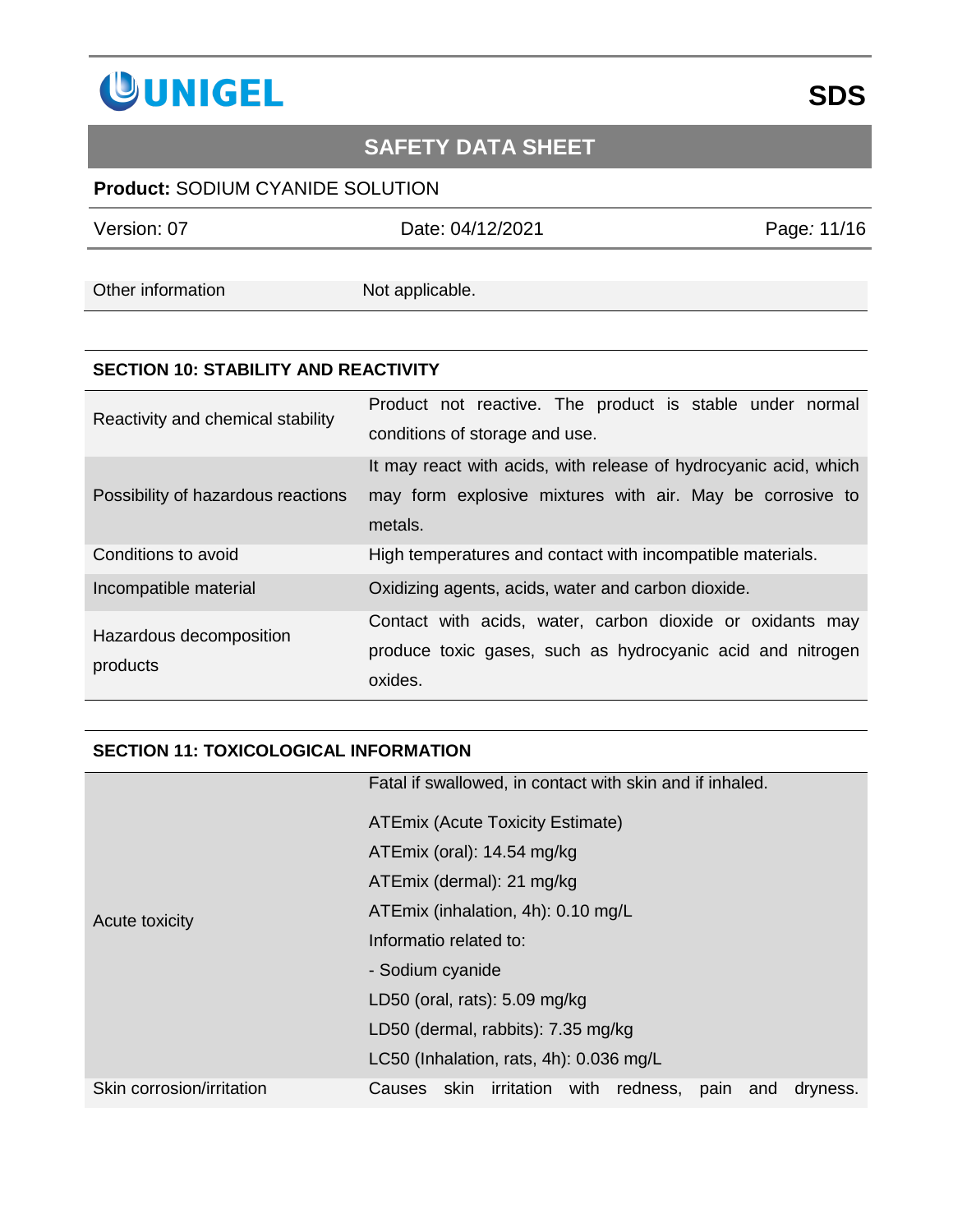

### **Product:** SODIUM CYANIDE SOLUTION

Version: 07 Date: 04/12/2021 Page*:* 11/16

Other information Not applicable.

#### **SECTION 10: STABILITY AND REACTIVITY**

| Reactivity and chemical stability   | Product not reactive. The product is stable under normal<br>conditions of storage and use.                                               |
|-------------------------------------|------------------------------------------------------------------------------------------------------------------------------------------|
| Possibility of hazardous reactions  | It may react with acids, with release of hydrocyanic acid, which<br>may form explosive mixtures with air. May be corrosive to<br>metals. |
| Conditions to avoid                 | High temperatures and contact with incompatible materials.                                                                               |
| Incompatible material               | Oxidizing agents, acids, water and carbon dioxide.                                                                                       |
| Hazardous decomposition<br>products | Contact with acids, water, carbon dioxide or oxidants may<br>produce toxic gases, such as hydrocyanic acid and nitrogen<br>oxides.       |

#### **SECTION 11: TOXICOLOGICAL INFORMATION**

|                           | Fatal if swallowed, in contact with skin and if inhaled.                 |
|---------------------------|--------------------------------------------------------------------------|
| Acute toxicity            | ATEmix (Acute Toxicity Estimate)                                         |
|                           | ATEmix (oral): 14.54 mg/kg                                               |
|                           | ATEmix (dermal): 21 mg/kg                                                |
|                           | ATEmix (inhalation, 4h): 0.10 mg/L                                       |
|                           | Informatio related to:                                                   |
|                           | - Sodium cyanide                                                         |
|                           | LD50 (oral, rats): $5.09$ mg/kg                                          |
|                           | LD50 (dermal, rabbits): 7.35 mg/kg                                       |
|                           | LC50 (Inhalation, rats, 4h): 0.036 mg/L                                  |
| Skin corrosion/irritation | irritation<br>with redness,<br>skin<br>pain<br>Causes<br>and<br>dryness. |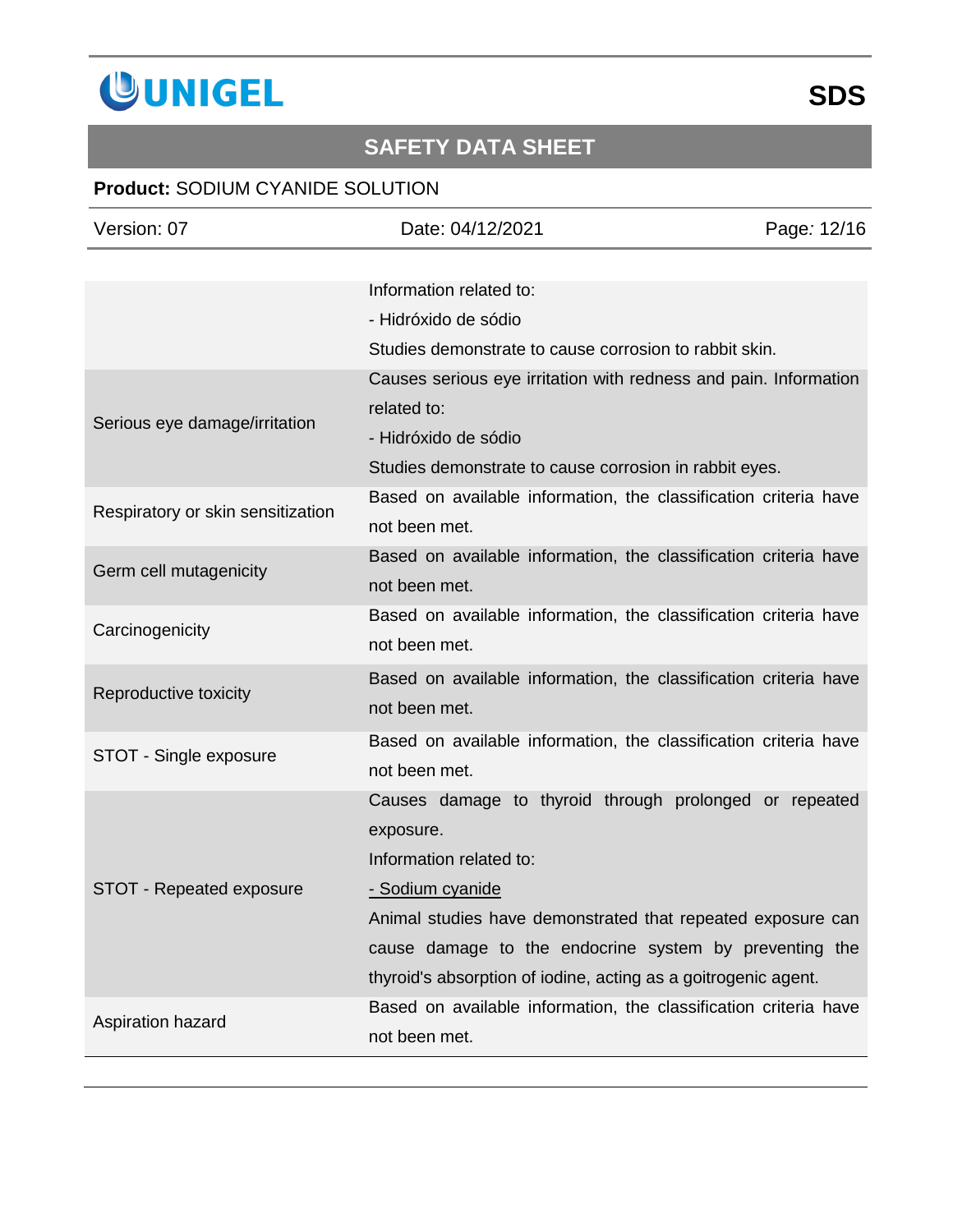

| Version: 07                       | Date: 04/12/2021                                                                                                                                                                                                                                                                                              | Page: 12/16 |
|-----------------------------------|---------------------------------------------------------------------------------------------------------------------------------------------------------------------------------------------------------------------------------------------------------------------------------------------------------------|-------------|
|                                   | Information related to:<br>- Hidróxido de sódio<br>Studies demonstrate to cause corrosion to rabbit skin.                                                                                                                                                                                                     |             |
| Serious eye damage/irritation     | Causes serious eye irritation with redness and pain. Information<br>related to:<br>- Hidróxido de sódio<br>Studies demonstrate to cause corrosion in rabbit eyes.                                                                                                                                             |             |
| Respiratory or skin sensitization | Based on available information, the classification criteria have<br>not been met.                                                                                                                                                                                                                             |             |
| Germ cell mutagenicity            | Based on available information, the classification criteria have<br>not been met.                                                                                                                                                                                                                             |             |
| Carcinogenicity                   | Based on available information, the classification criteria have<br>not been met.                                                                                                                                                                                                                             |             |
| Reproductive toxicity             | Based on available information, the classification criteria have<br>not been met.                                                                                                                                                                                                                             |             |
| STOT - Single exposure            | Based on available information, the classification criteria have<br>not been met.                                                                                                                                                                                                                             |             |
| STOT - Repeated exposure          | Causes damage to thyroid through prolonged or repeated<br>exposure.<br>Information related to:<br>- Sodium cyanide<br>Animal studies have demonstrated that repeated exposure can<br>cause damage to the endocrine system by preventing the<br>thyroid's absorption of iodine, acting as a goitrogenic agent. |             |
| Aspiration hazard                 | Based on available information, the classification criteria have<br>not been met.                                                                                                                                                                                                                             |             |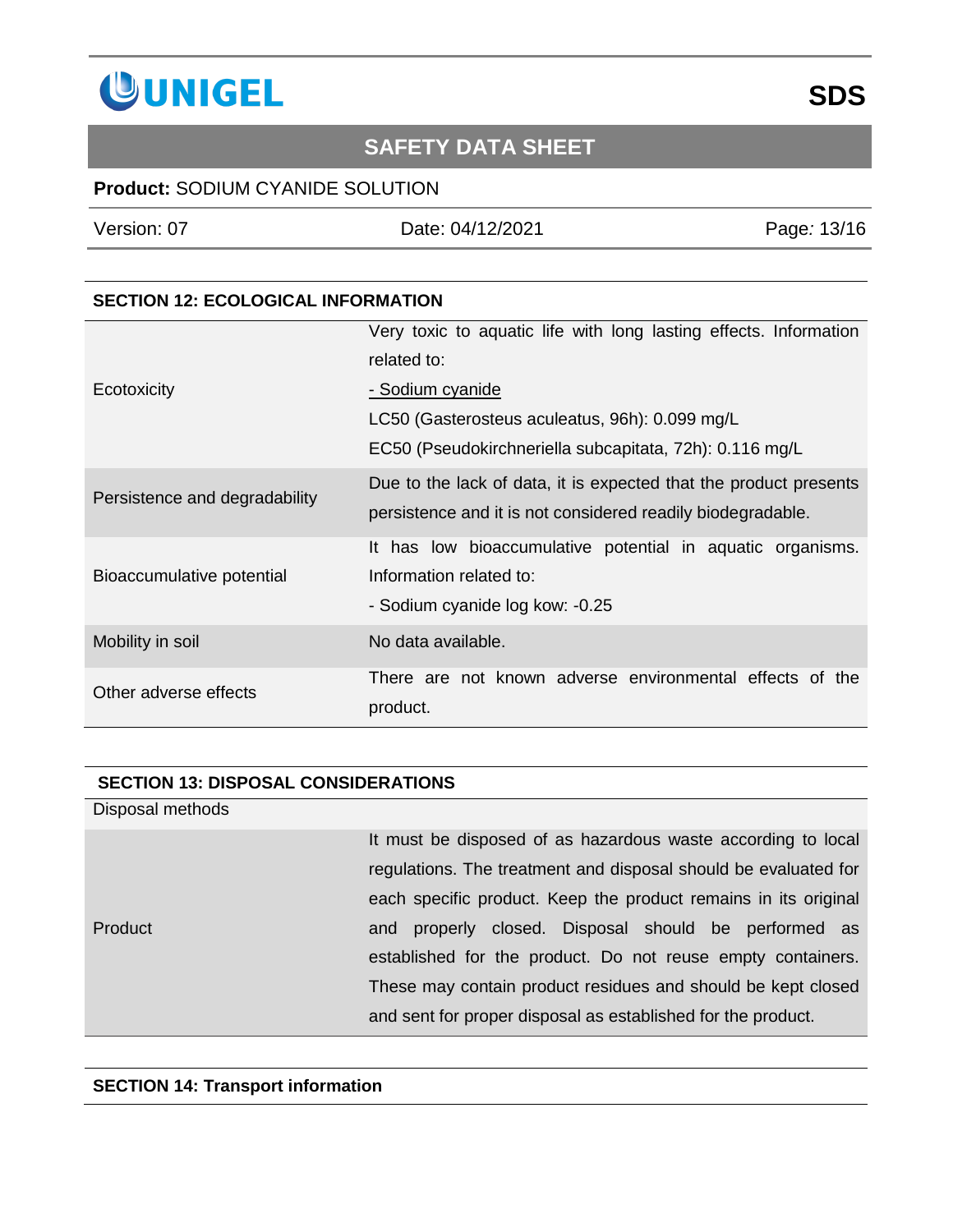

### **Product:** SODIUM CYANIDE SOLUTION

Version: 07 Date: 04/12/2021 Page*:* 13/16

#### **SECTION 12: ECOLOGICAL INFORMATION**

|                               | Very toxic to aquatic life with long lasting effects. Information                                                                |
|-------------------------------|----------------------------------------------------------------------------------------------------------------------------------|
|                               | related to:                                                                                                                      |
| Ecotoxicity                   | - Sodium cyanide                                                                                                                 |
|                               | LC50 (Gasterosteus aculeatus, 96h): 0.099 mg/L                                                                                   |
|                               | EC50 (Pseudokirchneriella subcapitata, 72h): 0.116 mg/L                                                                          |
| Persistence and degradability | Due to the lack of data, it is expected that the product presents<br>persistence and it is not considered readily biodegradable. |
| Bioaccumulative potential     | It has low bioaccumulative potential in aquatic organisms.<br>Information related to:<br>- Sodium cyanide log kow: -0.25         |
| Mobility in soil              | No data available.                                                                                                               |
| Other adverse effects         | There are not known adverse environmental effects of the<br>product.                                                             |

#### **SECTION 13: DISPOSAL CONSIDERATIONS**

Disposal methods

Product

It must be disposed of as hazardous waste according to local regulations. The treatment and disposal should be evaluated for each specific product. Keep the product remains in its original and properly closed. Disposal should be performed as established for the product. Do not reuse empty containers. These may contain product residues and should be kept closed and sent for proper disposal as established for the product.

#### **SECTION 14: Transport information**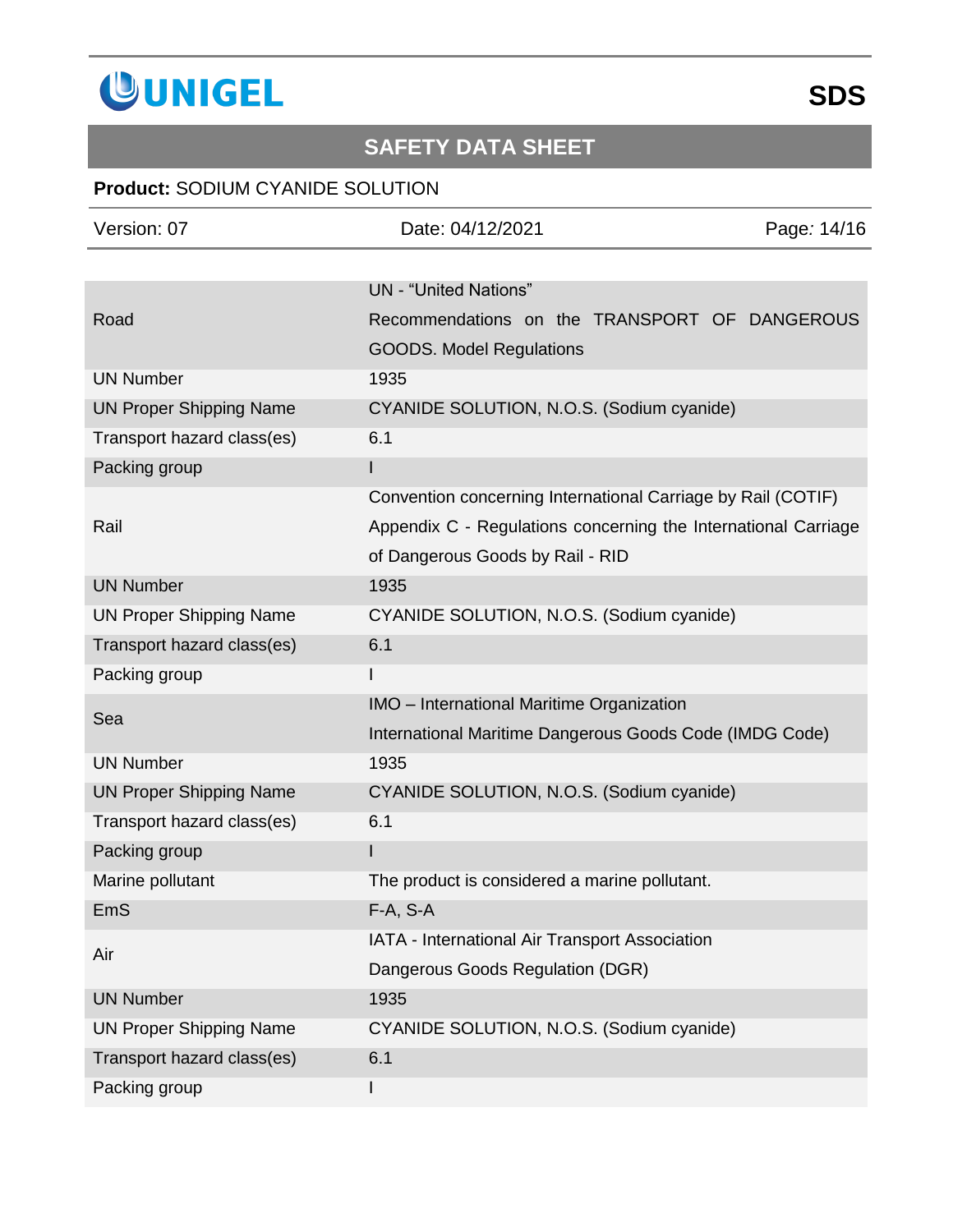

| Version: 07                    | Date: 04/12/2021                                               | Page: 14/16 |
|--------------------------------|----------------------------------------------------------------|-------------|
|                                |                                                                |             |
|                                | <b>UN</b> - "United Nations"                                   |             |
| Road                           | Recommendations on the TRANSPORT OF DANGEROUS                  |             |
|                                | <b>GOODS. Model Regulations</b>                                |             |
| <b>UN Number</b>               | 1935                                                           |             |
| <b>UN Proper Shipping Name</b> | CYANIDE SOLUTION, N.O.S. (Sodium cyanide)                      |             |
| Transport hazard class(es)     | 6.1                                                            |             |
| Packing group                  |                                                                |             |
|                                | Convention concerning International Carriage by Rail (COTIF)   |             |
| Rail                           | Appendix C - Regulations concerning the International Carriage |             |
|                                | of Dangerous Goods by Rail - RID                               |             |
| <b>UN Number</b>               | 1935                                                           |             |
| <b>UN Proper Shipping Name</b> | CYANIDE SOLUTION, N.O.S. (Sodium cyanide)                      |             |
| Transport hazard class(es)     | 6.1                                                            |             |
| Packing group                  |                                                                |             |
| Sea                            | IMO - International Maritime Organization                      |             |
|                                | International Maritime Dangerous Goods Code (IMDG Code)        |             |
| <b>UN Number</b>               | 1935                                                           |             |
| <b>UN Proper Shipping Name</b> | CYANIDE SOLUTION, N.O.S. (Sodium cyanide)                      |             |
| Transport hazard class(es)     | 6.1                                                            |             |
| Packing group                  | I                                                              |             |
| Marine pollutant               | The product is considered a marine pollutant.                  |             |
| EmS                            | $F-A, S-A$                                                     |             |
| Air                            | IATA - International Air Transport Association                 |             |
|                                | Dangerous Goods Regulation (DGR)                               |             |
| <b>UN Number</b>               | 1935                                                           |             |
| <b>UN Proper Shipping Name</b> | CYANIDE SOLUTION, N.O.S. (Sodium cyanide)                      |             |
| Transport hazard class(es)     | 6.1                                                            |             |
| Packing group                  |                                                                |             |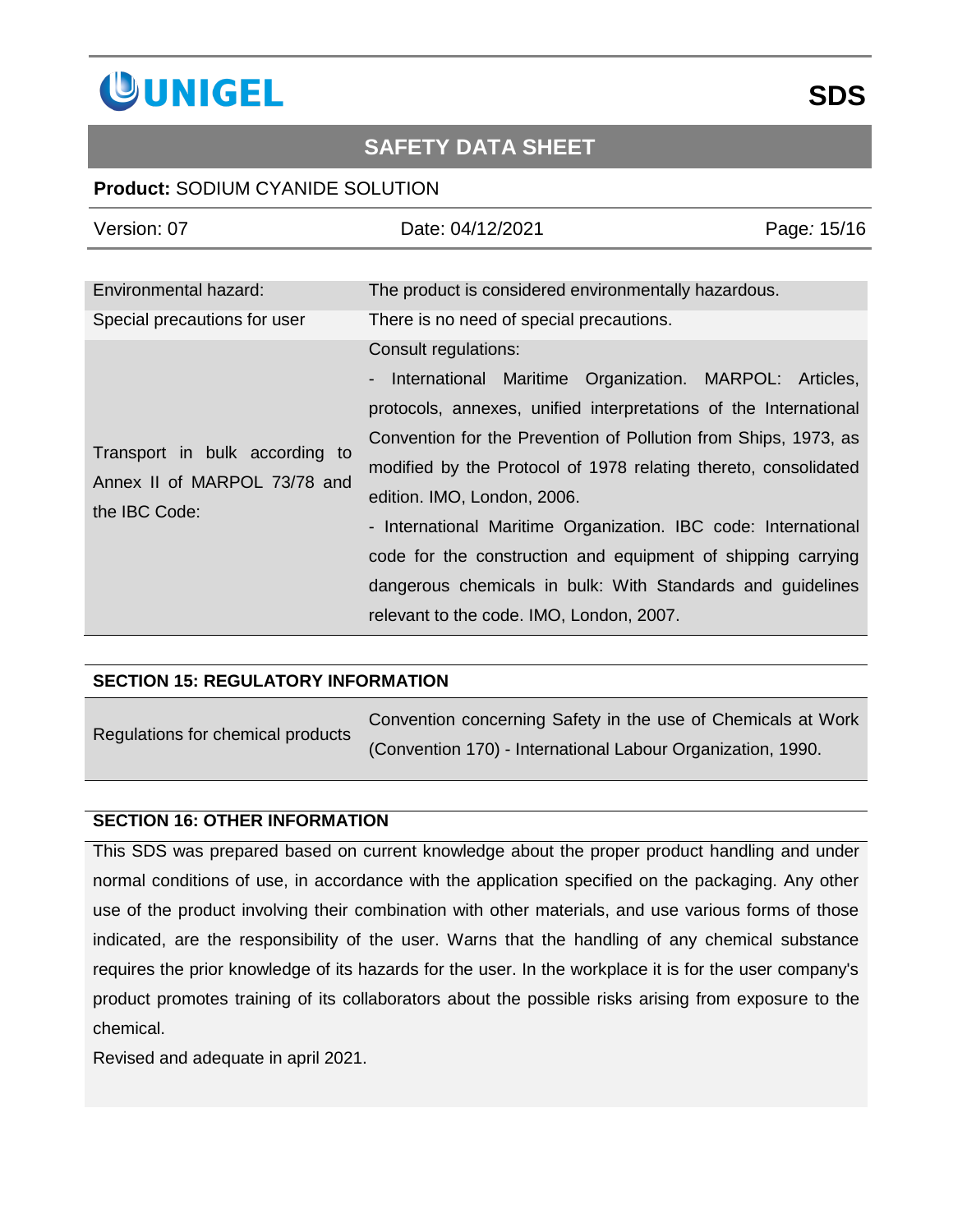

### **Product:** SODIUM CYANIDE SOLUTION

| Version: 07                                                                     | Date: 04/12/2021                                                                                                                                                                                                                                                                                                                                                                                                                                                                                                                                                                      | Page: 15/16 |
|---------------------------------------------------------------------------------|---------------------------------------------------------------------------------------------------------------------------------------------------------------------------------------------------------------------------------------------------------------------------------------------------------------------------------------------------------------------------------------------------------------------------------------------------------------------------------------------------------------------------------------------------------------------------------------|-------------|
|                                                                                 |                                                                                                                                                                                                                                                                                                                                                                                                                                                                                                                                                                                       |             |
| Environmental hazard:                                                           | The product is considered environmentally hazardous.                                                                                                                                                                                                                                                                                                                                                                                                                                                                                                                                  |             |
| Special precautions for user                                                    | There is no need of special precautions.                                                                                                                                                                                                                                                                                                                                                                                                                                                                                                                                              |             |
| Transport in bulk according to<br>Annex II of MARPOL 73/78 and<br>the IBC Code: | Consult regulations:<br>International Maritime Organization. MARPOL: Articles,<br>$\blacksquare$<br>protocols, annexes, unified interpretations of the International<br>Convention for the Prevention of Pollution from Ships, 1973, as<br>modified by the Protocol of 1978 relating thereto, consolidated<br>edition. IMO, London, 2006.<br>- International Maritime Organization. IBC code: International<br>code for the construction and equipment of shipping carrying<br>dangerous chemicals in bulk: With Standards and guidelines<br>relevant to the code. IMO, London, 2007. |             |

#### **SECTION 15: REGULATORY INFORMATION**

| Regulations for chemical products | Convention concerning Safety in the use of Chemicals at Work |
|-----------------------------------|--------------------------------------------------------------|
|                                   | (Convention 170) - International Labour Organization, 1990.  |

#### **SECTION 16: OTHER INFORMATION**

This SDS was prepared based on current knowledge about the proper product handling and under normal conditions of use, in accordance with the application specified on the packaging. Any other use of the product involving their combination with other materials, and use various forms of those indicated, are the responsibility of the user. Warns that the handling of any chemical substance requires the prior knowledge of its hazards for the user. In the workplace it is for the user company's product promotes training of its collaborators about the possible risks arising from exposure to the chemical.

Revised and adequate in april 2021.